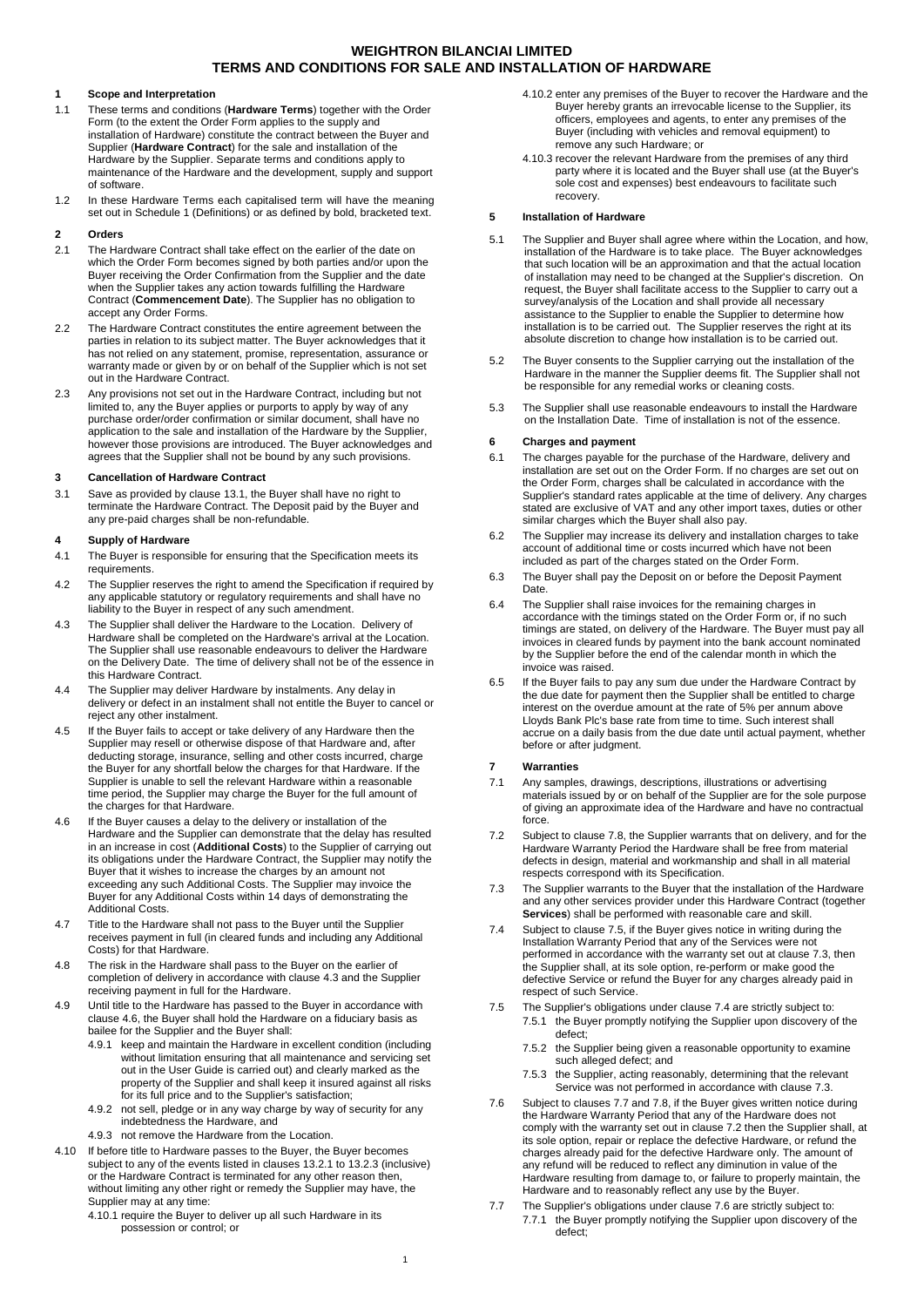## **1 Scope and Interpretation**

- 1.1 These terms and conditions (**Hardware Terms**) together with the Order Form (to the extent the Order Form applies to the supply and installation of Hardware) constitute the contract between the Buyer and Supplier (**Hardware Contract**) for the sale and installation of the Hardware by the Supplier. Separate terms and conditions apply to maintenance of the Hardware and the development, supply and support of software.
- 1.2 In these Hardware Terms each capitalised term will have the meaning set out in Schedule 1 (Definitions) or as defined by bold, bracketed text.

#### **2 Orders**

- 2.1 The Hardware Contract shall take effect on the earlier of the date on which the Order Form becomes signed by both parties and/or upon the Buyer receiving the Order Confirmation from the Supplier and the date when the Supplier takes any action towards fulfilling the Hardware Contract (**Commencement Date**). The Supplier has no obligation to accept any Order Forms.
- 2.2 The Hardware Contract constitutes the entire agreement between the parties in relation to its subject matter. The Buyer acknowledges that it has not relied on any statement, promise, representation, assurance or warranty made or given by or on behalf of the Supplier which is not set out in the Hardware Contract.
- 2.3 Any provisions not set out in the Hardware Contract, including but not limited to, any the Buyer applies or purports to apply by way of any purchase order/order confirmation or similar document, shall have no application to the sale and installation of the Hardware by the Supplier, however those provisions are introduced. The Buyer acknowledges and agrees that the Supplier shall not be bound by any such provisions.

#### **3 Cancellation of Hardware Contract**

3.1 Save as provided by claus[e 13.1,](#page-1-0) the Buyer shall have no right to terminate the Hardware Contract. The Deposit paid by the Buyer and any pre-paid charges shall be non-refundable.

## **4 Supply of Hardware**

- 4.1 The Buyer is responsible for ensuring that the Specification meets its requirements.
- <span id="page-0-8"></span>4.2 The Supplier reserves the right to amend the Specification if required by any applicable statutory or regulatory requirements and shall have no liability to the Buyer in respect of any such amendment.
- <span id="page-0-0"></span>4.3 The Supplier shall deliver the Hardware to the Location. Delivery of Hardware shall be completed on the Hardware's arrival at the Location. The Supplier shall use reasonable endeavours to deliver the Hardware on the Delivery Date. The time of delivery shall not be of the essence in this Hardware Contract.
- 4.4 The Supplier may deliver Hardware by instalments. Any delay in delivery or defect in an instalment shall not entitle the Buyer to cancel or reject any other instalment.
- 4.5 If the Buyer fails to accept or take delivery of any Hardware then the Supplier may resell or otherwise dispose of that Hardware and, after deducting storage, insurance, selling and other costs incurred, charge the Buyer for any shortfall below the charges for that Hardware. If the Supplier is unable to sell the relevant Hardware within a reasonable time period, the Supplier may charge the Buyer for the full amount of the charges for that Hardware.
- <span id="page-0-1"></span>4.6 If the Buyer causes a delay to the delivery or installation of the Hardware and the Supplier can demonstrate that the delay has resulted in an increase in cost (**Additional Costs**) to the Supplier of carrying out its obligations under the Hardware Contract, the Supplier may notify the Buyer that it wishes to increase the charges by an amount not exceeding any such Additional Costs. The Supplier may invoice the Buyer for any Additional Costs within 14 days of demonstrating the Additional Costs.
- 4.7 Title to the Hardware shall not pass to the Buyer until the Supplier receives payment in full (in cleared funds and including any Additional Costs) for that Hardware.
- 4.8 The risk in the Hardware shall pass to the Buyer on the earlier of completion of delivery in accordance with clause [4.3](#page-0-0) and the Supplier receiving payment in full for the Hardware.
- 4.9 Until title to the Hardware has passed to the Buyer in accordance with clause [4.6,](#page-0-1) the Buyer shall hold the Hardware on a fiduciary basis as bailee for the Supplier and the Buyer shall:
	- 4.9.1 keep and maintain the Hardware in excellent condition (including without limitation ensuring that all maintenance and servicing set out in the User Guide is carried out) and clearly marked as the property of the Supplier and shall keep it insured against all risks for its full price and to the Supplier's satisfaction;
	- 4.9.2 not sell, pledge or in any way charge by way of security for any indebtedness the Hardware, and
	- 4.9.3 not remove the Hardware from the Location.
- 4.10 If before title to Hardware passes to the Buyer, the Buyer becomes subject to any of the events listed in clause[s 13.2.1](#page-1-1) t[o 13.2.3](#page-2-0) (inclusive) or the Hardware Contract is terminated for any other reason then, without limiting any other right or remedy the Supplier may have, the Supplier may at any time:
	- 4.10.1 require the Buyer to deliver up all such Hardware in its possession or control; or

1

- 4.10.2 enter any premises of the Buyer to recover the Hardware and the Buyer hereby grants an irrevocable license to the Supplier, its officers, employees and agents, to enter any premises of the Buyer (including with vehicles and removal equipment) to remove any such Hardware; or
- 4.10.3 recover the relevant Hardware from the premises of any third party where it is located and the Buyer shall use (at the Buyer's sole cost and expenses) best endeavours to facilitate such recovery.

## **5 Installation of Hardware**

- 5.1 The Supplier and Buyer shall agree where within the Location, and how, installation of the Hardware is to take place. The Buyer acknowledges that such location will be an approximation and that the actual location of installation may need to be changed at the Supplier's discretion. On request, the Buyer shall facilitate access to the Supplier to carry out a survey/analysis of the Location and shall provide all necessary assistance to the Supplier to enable the Supplier to determine how installation is to be carried out. The Supplier reserves the right at its absolute discretion to change how installation is to be carried out.
- 5.2 The Buyer consents to the Supplier carrying out the installation of the Hardware in the manner the Supplier deems fit. The Supplier shall not be responsible for any remedial works or cleaning costs.
- 5.3 The Supplier shall use reasonable endeavours to install the Hardware on the Installation Date. Time of installation is not of the essence.

#### **6 Charges and payment**

- 6.1 The charges payable for the purchase of the Hardware, delivery and installation are set out on the Order Form. If no charges are set out on the Order Form, charges shall be calculated in accordance with the Supplier's standard rates applicable at the time of delivery. Any charges stated are exclusive of VAT and any other import taxes, duties or other similar charges which the Buyer shall also pay.
- 6.2 The Supplier may increase its delivery and installation charges to take account of additional time or costs incurred which have not been included as part of the charges stated on the Order Form.
- 6.3 The Buyer shall pay the Deposit on or before the Deposit Payment Date.
- 6.4 The Supplier shall raise invoices for the remaining charges in accordance with the timings stated on the Order Form or, if no such timings are stated, on delivery of the Hardware. The Buyer must pay all invoices in cleared funds by payment into the bank account nominated by the Supplier before the end of the calendar month in which the invoice was raised.
- 6.5 If the Buyer fails to pay any sum due under the Hardware Contract by the due date for payment then the Supplier shall be entitled to charge interest on the overdue amount at the rate of 5% per annum above Lloyds Bank Plc's base rate from time to time. Such interest shall accrue on a daily basis from the due date until actual payment, whether before or after judgment.

#### <span id="page-0-9"></span>**7 Warranties**

- 7.1 Any samples, drawings, descriptions, illustrations or advertising materials issued by or on behalf of the Supplier are for the sole purpose of giving an approximate idea of the Hardware and have no contractual force.
- <span id="page-0-6"></span>7.2 Subject to clause [7.8,](#page-1-2) the Supplier warrants that on delivery, and for the Hardware Warranty Period the Hardware shall be free from material defects in design, material and workmanship and shall in all material respects correspond with its Specification.
- <span id="page-0-3"></span>7.3 The Supplier warrants to the Buyer that the installation of the Hardware and any other services provider under this Hardware Contract (together **Services**) shall be performed with reasonable care and skill.
- <span id="page-0-4"></span>7.4 Subject to clause [7.5,](#page-0-2) if the Buyer gives notice in writing during the Installation Warranty Period that any of the Services were not performed in accordance with the warranty set out at clause [7.3,](#page-0-3) then the Supplier shall, at its sole option, re-perform or make good the defective Service or refund the Buyer for any charges already paid in respect of such Service.
- <span id="page-0-2"></span>7.5 The Supplier's obligations under claus[e 7.4](#page-0-4) are strictly subject to: 7.5.1 the Buyer promptly notifying the Supplier upon discovery of the defect;
	- 7.5.2 the Supplier being given a reasonable opportunity to examine such alleged defect; and
	- 7.5.3 the Supplier, acting reasonably, determining that the relevant Service was not performed in accordance with claus[e 7.3.](#page-0-3)
- <span id="page-0-7"></span>7.6 Subject to clauses [7.7](#page-0-5) an[d 7.8,](#page-1-2) if the Buyer gives written notice during the Hardware Warranty Period that any of the Hardware does not comply with the warranty set out in claus[e 7.2](#page-0-6) then the Supplier shall, at its sole option, repair or replace the defective Hardware, or refund the charges already paid for the defective Hardware only. The amount of any refund will be reduced to reflect any diminution in value of the Hardware resulting from damage to, or failure to properly maintain, the Hardware and to reasonably reflect any use by the Buyer.
- <span id="page-0-5"></span>7.7 The Supplier's obligations under claus[e 7.6](#page-0-7) are strictly subject to: 7.7.1 the Buyer promptly notifying the Supplier upon discovery of the defect;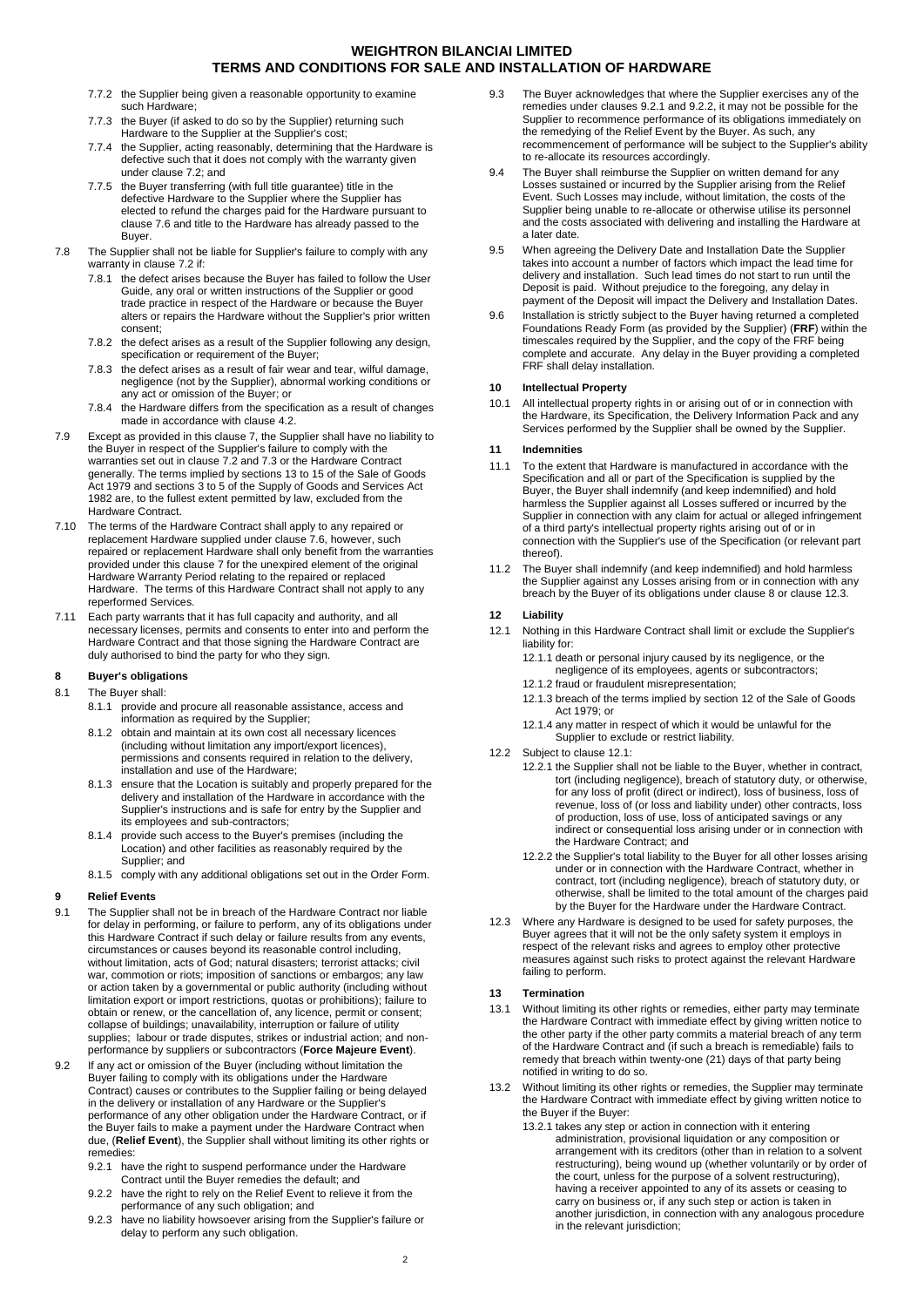- 7.7.2 the Supplier being given a reasonable opportunity to examine such Hardware;
- 7.7.3 the Buyer (if asked to do so by the Supplier) returning such Hardware to the Supplier at the Supplier's cost;
- 7.7.4 the Supplier, acting reasonably, determining that the Hardware is defective such that it does not comply with the warranty given under clause [7.2;](#page-0-6) and
- 7.7.5 the Buyer transferring (with full title guarantee) title in the defective Hardware to the Supplier where the Supplier has elected to refund the charges paid for the Hardware pursuant to claus[e 7.6](#page-0-7) and title to the Hardware has already passed to the Buyer.
- <span id="page-1-2"></span>7.8 The Supplier shall not be liable for Supplier's failure to comply with any warranty in claus[e 7.2](#page-0-6) if:
	- 7.8.1 the defect arises because the Buyer has failed to follow the User Guide, any oral or written instructions of the Supplier or good trade practice in respect of the Hardware or because the Buyer alters or repairs the Hardware without the Supplier's prior written consent;
	- 7.8.2 the defect arises as a result of the Supplier following any design, specification or requirement of the Buyer;
	- 7.8.3 the defect arises as a result of fair wear and tear, wilful damage, negligence (not by the Supplier), abnormal working conditions or any act or omission of the Buyer; or
	- 7.8.4 the Hardware differs from the specification as a result of changes made in accordance with claus[e 4.2.](#page-0-8)
- 7.9 Except as provided in this clause [7,](#page-0-9) the Supplier shall have no liability to the Buyer in respect of the Supplier's failure to comply with the warranties set out in claus[e 7.2](#page-0-6) and [7.3](#page-0-3) or the Hardware Contract generally. The terms implied by sections 13 to 15 of the Sale of Goods Act 1979 and sections 3 to 5 of the Supply of Goods and Services Act 1982 are, to the fullest extent permitted by law, excluded from the Hardware Contract.
- 7.10 The terms of the Hardware Contract shall apply to any repaired or replacement Hardware supplied under clause [7.6,](#page-0-7) however, such repaired or replacement Hardware shall only benefit from the warranties provided under this claus[e 7](#page-0-9) for the unexpired element of the original Hardware Warranty Period relating to the repaired or replaced Hardware. The terms of this Hardware Contract shall not apply to any reperformed Services.
- 7.11 Each party warrants that it has full capacity and authority, and all necessary licenses, permits and consents to enter into and perform the Hardware Contract and that those signing the Hardware Contract are duly authorised to bind the party for who they sign.

## <span id="page-1-5"></span>**8 Buyer's obligations**

## 8.1 The Buyer shall:

- 8.1.1 provide and procure all reasonable assistance, access and information as required by the Supplier;
- 8.1.2 obtain and maintain at its own cost all necessary licences (including without limitation any import/export licences), permissions and consents required in relation to the delivery, installation and use of the Hardware;
- 8.1.3 ensure that the Location is suitably and properly prepared for the delivery and installation of the Hardware in accordance with the Supplier's instructions and is safe for entry by the Supplier and its employees and sub-contractors;
- 8.1.4 provide such access to the Buyer's premises (including the Location) and other facilities as reasonably required by the Supplier; and
- 8.1.5 comply with any additional obligations set out in the Order Form.

## **9 Relief Events**

- 9.1 The Supplier shall not be in breach of the Hardware Contract nor liable for delay in performing, or failure to perform, any of its obligations under this Hardware Contract if such delay or failure results from any events, circumstances or causes beyond its reasonable control including, without limitation, acts of God; natural disasters; terrorist attacks; civil war, commotion or riots; imposition of sanctions or embargos; any law or action taken by a governmental or public authority (including without limitation export or import restrictions, quotas or prohibitions); failure to obtain or renew, or the cancellation of, any licence, permit or consent; collapse of buildings; unavailability, interruption or failure of utility supplies; labour or trade disputes, strikes or industrial action; and nonperformance by suppliers or subcontractors (**Force Majeure Event**).
- <span id="page-1-4"></span><span id="page-1-3"></span>9.2 If any act or omission of the Buyer (including without limitation the Buyer failing to comply with its obligations under the Hardware Contract) causes or contributes to the Supplier failing or being delayed in the delivery or installation of any Hardware or the Supplier's performance of any other obligation under the Hardware Contract, or if the Buyer fails to make a payment under the Hardware Contract when due, (**Relief Event**), the Supplier shall without limiting its other rights or remedies:
	- 9.2.1 have the right to suspend performance under the Hardware Contract until the Buyer remedies the default; and
	- 9.2.2 have the right to rely on the Relief Event to relieve it from the performance of any such obligation; and
	- 9.2.3 have no liability howsoever arising from the Supplier's failure or delay to perform any such obligation.
- 9.3 The Buyer acknowledges that where the Supplier exercises any of the remedies under clauses [9.2.1](#page-1-3) an[d 9.2.2,](#page-1-4) it may not be possible for the Supplier to recommence performance of its obligations immediately on the remedying of the Relief Event by the Buyer. As such, any recommencement of performance will be subject to the Supplier's ability to re-allocate its resources accordingly.
- 9.4 The Buyer shall reimburse the Supplier on written demand for any Losses sustained or incurred by the Supplier arising from the Relief Event. Such Losses may include, without limitation, the costs of the Supplier being unable to re-allocate or otherwise utilise its personnel and the costs associated with delivering and installing the Hardware at a later date.
- 9.5 When agreeing the Delivery Date and Installation Date the Supplier takes into account a number of factors which impact the lead time for delivery and installation. Such lead times do not start to run until the Deposit is paid. Without prejudice to the foregoing, any delay in payment of the Deposit will impact the Delivery and Installation Dates.
- 9.6 Installation is strictly subject to the Buyer having returned a completed Foundations Ready Form (as provided by the Supplier) (**FRF**) within the timescales required by the Supplier, and the copy of the FRF being complete and accurate. Any delay in the Buyer providing a completed FRF shall delay installation.

## **10 Intellectual Property**

10.1 All intellectual property rights in or arising out of or in connection with the Hardware, its Specification, the Delivery Information Pack and any Services performed by the Supplier shall be owned by the Supplier.

#### **11 Indemnities**

- 11.1 To the extent that Hardware is manufactured in accordance with the Specification and all or part of the Specification is supplied by the Buyer, the Buyer shall indemnify (and keep indemnified) and hold harmless the Supplier against all Losses suffered or incurred by the Supplier in connection with any claim for actual or alleged infringement of a third party's intellectual property rights arising out of or in connection with the Supplier's use of the Specification (or relevant part thereof).
- 11.2 The Buyer shall indemnify (and keep indemnified) and hold harmless the Supplier against any Losses arising from or in connection with any breach by the Buyer of its obligations under claus[e 8](#page-1-5) or claus[e 12.3.](#page-1-6)

#### **12 Liability**

- <span id="page-1-7"></span>12.1 Nothing in this Hardware Contract shall limit or exclude the Supplier's liability for:
	- 12.1.1 death or personal injury caused by its negligence, or the negligence of its employees, agents or subcontractors;
	- 12.1.2 fraud or fraudulent misrepresentation;
	- 12.1.3 breach of the terms implied by section 12 of the Sale of Goods Act 1979; or
	- 12.1.4 any matter in respect of which it would be unlawful for the Supplier to exclude or restrict liability.
- 12.2 Subject to clause [12.1:](#page-1-7)
	- 12.2.1 the Supplier shall not be liable to the Buyer, whether in contract, tort (including negligence), breach of statutory duty, or otherwise, for any loss of profit (direct or indirect), loss of business, loss of revenue, loss of (or loss and liability under) other contracts, loss of production, loss of use, loss of anticipated savings or any indirect or consequential loss arising under or in connection with the Hardware Contract; and
	- 12.2.2 the Supplier's total liability to the Buyer for all other losses arising under or in connection with the Hardware Contract, whether in contract, tort (including negligence), breach of statutory duty, or otherwise, shall be limited to the total amount of the charges paid by the Buyer for the Hardware under the Hardware Contract.
- <span id="page-1-6"></span>12.3 Where any Hardware is designed to be used for safety purposes, the Buyer agrees that it will not be the only safety system it employs in respect of the relevant risks and agrees to employ other protective measures against such risks to protect against the relevant Hardware failing to perform.

#### <span id="page-1-8"></span>**13 Termination**

- <span id="page-1-0"></span>13.1 Without limiting its other rights or remedies, either party may terminate the Hardware Contract with immediate effect by giving written notice to the other party if the other party commits a material breach of any term of the Hardware Contract and (if such a breach is remediable) fails to remedy that breach within twenty-one (21) days of that party being notified in writing to do so.
- <span id="page-1-1"></span>13.2 Without limiting its other rights or remedies, the Supplier may terminate the Hardware Contract with immediate effect by giving written notice to the Buyer if the Buyer:
	- 13.2.1 takes any step or action in connection with it entering administration, provisional liquidation or any composition or arrangement with its creditors (other than in relation to a solvent restructuring), being wound up (whether voluntarily or by order of the court, unless for the purpose of a solvent restructuring), having a receiver appointed to any of its assets or ceasing to carry on business or, if any such step or action is taken in another jurisdiction, in connection with any analogous procedure in the relevant jurisdiction;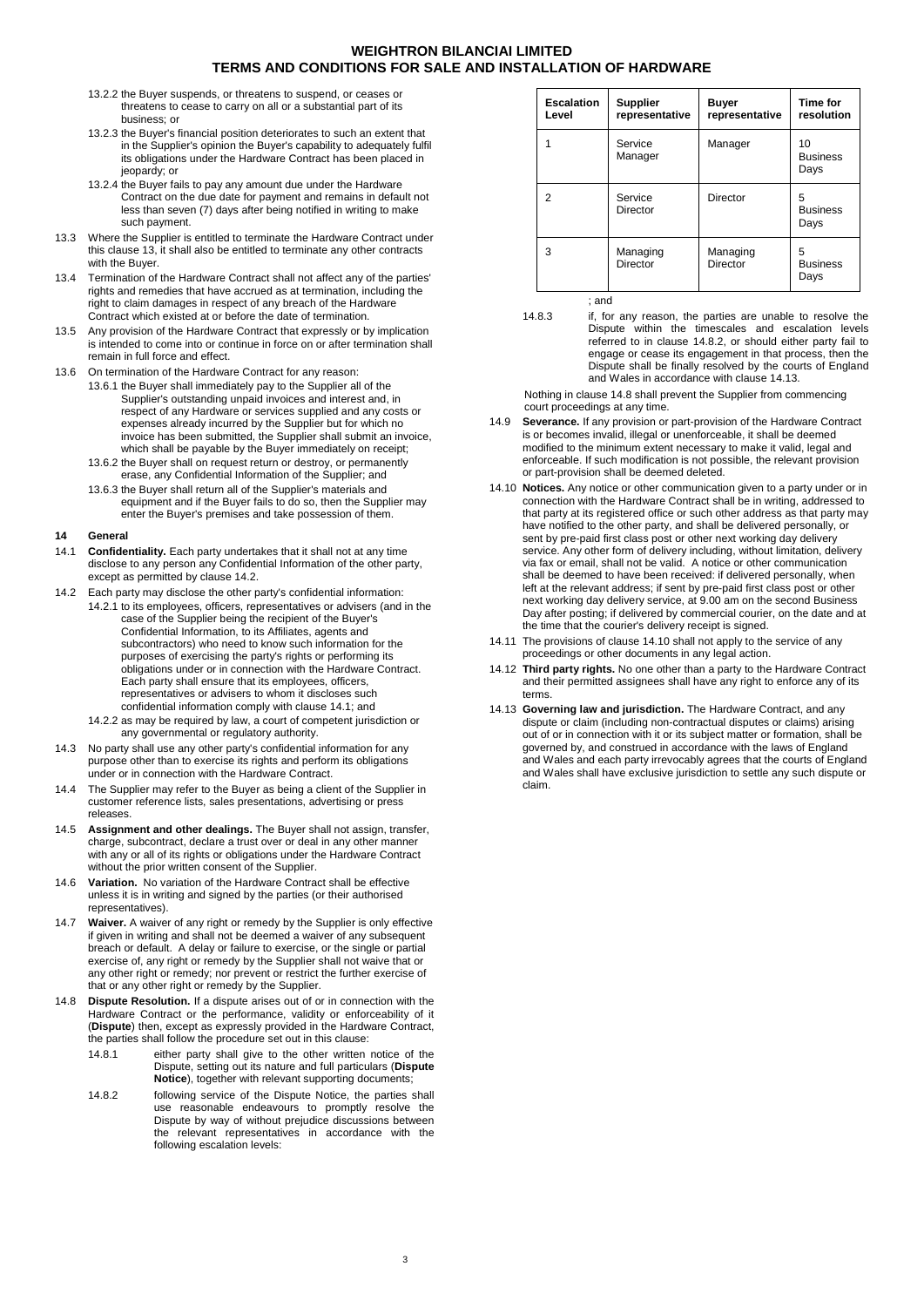- 13.2.2 the Buyer suspends, or threatens to suspend, or ceases or threatens to cease to carry on all or a substantial part of its business; or
- <span id="page-2-0"></span>13.2.3 the Buyer's financial position deteriorates to such an extent that in the Supplier's opinion the Buyer's capability to adequately fulfil its obligations under the Hardware Contract has been placed in jeopardy; or
- 13.2.4 the Buyer fails to pay any amount due under the Hardware Contract on the due date for payment and remains in default not less than seven (7) days after being notified in writing to make such payment.
- 13.3 Where the Supplier is entitled to terminate the Hardware Contract under this clause [13,](#page-1-8) it shall also be entitled to terminate any other contracts with the Buyer.
- 13.4 Termination of the Hardware Contract shall not affect any of the parties' rights and remedies that have accrued as at termination, including the right to claim damages in respect of any breach of the Hardware Contract which existed at or before the date of termination.
- 13.5 Any provision of the Hardware Contract that expressly or by implication is intended to come into or continue in force on or after termination shall remain in full force and effect.
- 13.6 On termination of the Hardware Contract for any reason:
	- 13.6.1 the Buyer shall immediately pay to the Supplier all of the Supplier's outstanding unpaid invoices and interest and, in respect of any Hardware or services supplied and any costs or expenses already incurred by the Supplier but for which no invoice has been submitted, the Supplier shall submit an invoice, which shall be payable by the Buyer immediately on receipt;
		- 13.6.2 the Buyer shall on request return or destroy, or permanently erase, any Confidential Information of the Supplier; and
		- 13.6.3 the Buyer shall return all of the Supplier's materials and equipment and if the Buyer fails to do so, then the Supplier may enter the Buyer's premises and take possession of them.

#### **14 General**

- <span id="page-2-2"></span>14.1 **Confidentiality.** Each party undertakes that it shall not at any time disclose to any person any Confidential Information of the other party, except as permitted by claus[e 14.2.](#page-2-1)
- <span id="page-2-1"></span>14.2 Each party may disclose the other party's confidential information: 14.2.1 to its employees, officers, representatives or advisers (and in the case of the Supplier being the recipient of the Buyer's Confidential Information, to its Affiliates, agents and subcontractors) who need to know such information for the purposes of exercising the party's rights or performing its obligations under or in connection with the Hardware Contract. Each party shall ensure that its employees, officers, representatives or advisers to whom it discloses such confidential information comply with claus[e 14.1;](#page-2-2) and
	- 14.2.2 as may be required by law, a court of competent jurisdiction or any governmental or regulatory authority.
- 14.3 No party shall use any other party's confidential information for any purpose other than to exercise its rights and perform its obligations under or in connection with the Hardware Contract.
- 14.4 The Supplier may refer to the Buyer as being a client of the Supplier in customer reference lists, sales presentations, advertising or press releases.
- 14.5 **Assignment and other dealings.** The Buyer shall not assign, transfer, charge, subcontract, declare a trust over or deal in any other manner with any or all of its rights or obligations under the Hardware Contract without the prior written consent of the Supplier.
- 14.6 **Variation.** No variation of the Hardware Contract shall be effective unless it is in writing and signed by the parties (or their authorised representatives).
- 14.7 **Waiver.** A waiver of any right or remedy by the Supplier is only effective if given in writing and shall not be deemed a waiver of any subsequent breach or default. A delay or failure to exercise, or the single or partial exercise of, any right or remedy by the Supplier shall not waive that or any other right or remedy; nor prevent or restrict the further exercise of that or any other right or remedy by the Supplier.
- <span id="page-2-5"></span><span id="page-2-3"></span>14.8 **Dispute Resolution.** If a dispute arises out of or in connection with the Hardware Contract or the performance, validity or enforceability of it (**Dispute**) then, except as expressly provided in the Hardware Contract, the parties shall follow the procedure set out in this clause:
	- 14.8.1 either party shall give to the other written notice of the Dispute, setting out its nature and full particulars (**Dispute Notice**), together with relevant supporting documents;
	- 14.8.2 following service of the Dispute Notice, the parties shall use reasonable endeavours to promptly resolve the Dispute by way of without prejudice discussions between the relevant representatives in accordance with the following escalation levels:

| <b>Escalation</b><br>Level | <b>Supplier</b><br>representative | <b>Buyer</b><br>representative | Time for<br>resolution        |
|----------------------------|-----------------------------------|--------------------------------|-------------------------------|
|                            | Service<br>Manager                | Manager                        | 10<br><b>Business</b><br>Days |
| 2                          | Service<br>Director               | <b>Director</b>                | 5<br><b>Business</b><br>Days  |
| 3                          | Managing<br>Director              | Managing<br><b>Director</b>    | 5<br><b>Business</b><br>Days  |

; and

14.8.3 if, for any reason, the parties are unable to resolve the Dispute within the timescales and escalation levels referred to in clause [14.8.2,](#page-2-3) or should either party fail to engage or cease its engagement in that process, then the Dispute shall be finally resolved by the courts of England and Wales in accordance with claus[e 14.13.](#page-2-4)

Nothing in claus[e 14.8](#page-2-5) shall prevent the Supplier from commencing court proceedings at any time.

- 14.9 **Severance.** If any provision or part-provision of the Hardware Contract is or becomes invalid, illegal or unenforceable, it shall be deemed modified to the minimum extent necessary to make it valid, legal and enforceable. If such modification is not possible, the relevant provision or part-provision shall be deemed deleted.
- <span id="page-2-6"></span>14.10 **Notices.** Any notice or other communication given to a party under or in connection with the Hardware Contract shall be in writing, addressed to that party at its registered office or such other address as that party may have notified to the other party, and shall be delivered personally, or sent by pre-paid first class post or other next working day delivery service. Any other form of delivery including, without limitation, delivery via fax or email, shall not be valid. A notice or other communication shall be deemed to have been received: if delivered personally, when left at the relevant address; if sent by pre-paid first class post or other next working day delivery service, at 9.00 am on the second Business Day after posting; if delivered by commercial courier, on the date and at the time that the courier's delivery receipt is signed.
- 14.11 The provisions of claus[e 14.10](#page-2-6) shall not apply to the service of any proceedings or other documents in any legal action.
- 14.12 **Third party rights.** No one other than a party to the Hardware Contract and their permitted assignees shall have any right to enforce any of its terms.
- <span id="page-2-4"></span>14.13 **Governing law and jurisdiction.** The Hardware Contract, and any dispute or claim (including non-contractual disputes or claims) arising out of or in connection with it or its subject matter or formation, shall be governed by, and construed in accordance with the laws of England and Wales and each party irrevocably agrees that the courts of England and Wales shall have exclusive jurisdiction to settle any such dispute or claim.